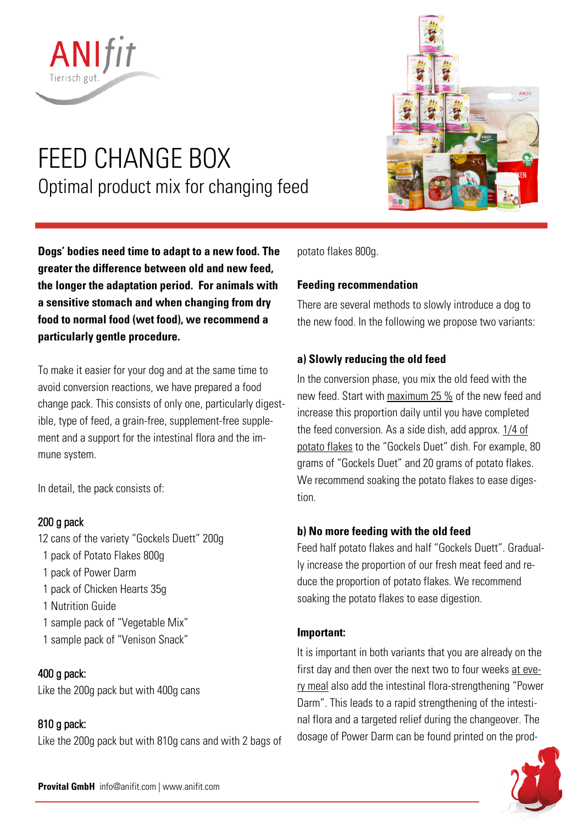

# FEED CHANGE BOX Optimal product mix for changing feed

**Dogs' bodies need time to adapt to a new food. The greater the difference between old and new feed, the longer the adaptation period. For animals with a sensitive stomach and when changing from dry food to normal food (wet food), we recommend a particularly gentle procedure.** 

To make it easier for your dog and at the same time to avoid conversion reactions, we have prepared a food change pack. This consists of only one, particularly digestible, type of feed, a grain-free, supplement-free supplement and a support for the intestinal flora and the immune system.

In detail, the pack consists of:

# 200 g pack

12 cans of the variety "Gockels Duett" 200g 1 pack of Potato Flakes 800g 1 pack of Power Darm 1 pack of Chicken Hearts 35g 1 Nutrition Guide 1 sample pack of "Vegetable Mix" 1 sample pack of "Venison Snack"

# 400 g pack:

Like the 200g pack but with 400g cans

# 810 g pack:

Like the 200g pack but with 810g cans and with 2 bags of



potato flakes 800g.

# **Feeding recommendation**

There are several methods to slowly introduce a dog to the new food. In the following we propose two variants:

## **a) Slowly reducing the old feed**

In the conversion phase, you mix the old feed with the new feed. Start with maximum 25 % of the new feed and increase this proportion daily until you have completed the feed conversion. As a side dish, add approx.  $1/4$  of potato flakes to the "Gockels Duet" dish. For example, 80 grams of "Gockels Duet" and 20 grams of potato flakes. We recommend soaking the potato flakes to ease digestion.

### **b) No more feeding with the old feed**

Feed half potato flakes and half "Gockels Duett". Gradually increase the proportion of our fresh meat feed and reduce the proportion of potato flakes. We recommend soaking the potato flakes to ease digestion.

### **Important:**

It is important in both variants that you are already on the first day and then over the next two to four weeks at every meal also add the intestinal flora-strengthening "Power Darm". This leads to a rapid strengthening of the intestinal flora and a targeted relief during the changeover. The dosage of Power Darm can be found printed on the prod-